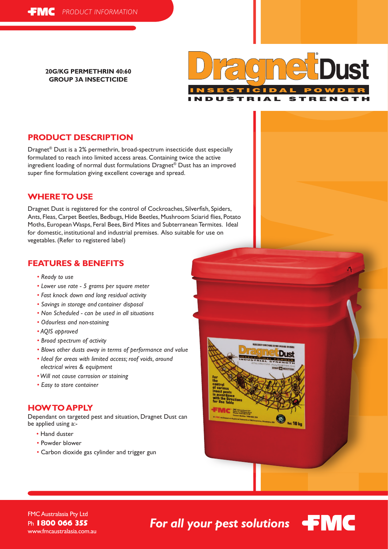**20G/KG PERMETHRIN 40:60 GROUP 3A INSECTICIDE**



# **PRODUCT DESCRIPTION**

Dragnet® Dust is a 2% permethrin, broad-spectrum insecticide dust especially formulated to reach into limited access areas. Containing twice the active ingredient loading of normal dust formulations Dragnet® Dust has an improved super fine formulation giving excellent coverage and spread.

## **WHERE TO USE**

Dragnet Dust is registered for the control of Cockroaches, Silverfish, Spiders, Ants, Fleas, Carpet Beetles, Bedbugs, Hide Beetles, Mushroom Sciarid flies, Potato Moths, European Wasps, Feral Bees, Bird Mites and Subterranean Termites. Ideal for domestic, institutional and industrial premises. Also suitable for use on vegetables. (Refer to registered label)

## **FEATURES & BENEFITS**

- *Ready to use*
- *Lower use rate 5 grams per square meter*
- *Fast knock down and long residual activity*
- *Savings in storage and container disposal*
- *Non Scheduled can be used in all situations*
- *Odourless and non-staining*
- *AQIS approved*
- *Broad spectrum of activity*
- *Blows other dusts away in terms of performance and value*
- *Ideal for areas with limited access; roof voids, around electrical wires & equipment*
- *Will not cause corrosion or staining*
- *Easy to store container*

## **HOW TO APPLY**

Dependant on targeted pest and situation, Dragnet Dust can be applied using a:-

- Hand duster
- Powder blower
- Carbon dioxide gas cylinder and trigger gun





FMC Australasia Pty Ltd Ph **1800 066 355** www.fmcaustralasia.com.au